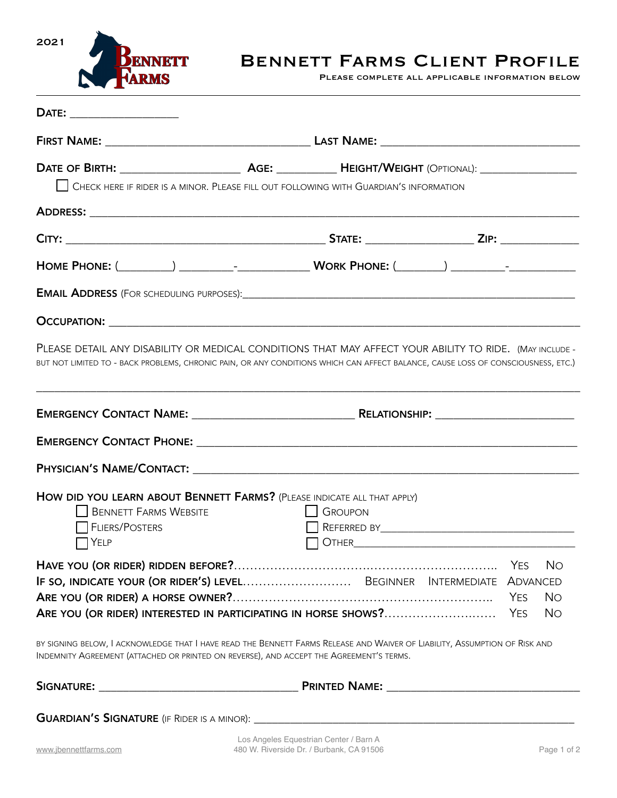

## BENNETT FARMS CLIENT PROFILE<br>PLEASE COMPLETE ALL APPLICABLE INFORMATION BELOW

|                                                                                         | CHECK HERE IF RIDER IS A MINOR. PLEASE FILL OUT FOLLOWING WITH GUARDIAN'S INFORMATION                                                                                                                                 |                   |
|-----------------------------------------------------------------------------------------|-----------------------------------------------------------------------------------------------------------------------------------------------------------------------------------------------------------------------|-------------------|
|                                                                                         |                                                                                                                                                                                                                       |                   |
|                                                                                         |                                                                                                                                                                                                                       |                   |
|                                                                                         |                                                                                                                                                                                                                       |                   |
|                                                                                         |                                                                                                                                                                                                                       |                   |
|                                                                                         |                                                                                                                                                                                                                       |                   |
|                                                                                         | BUT NOT LIMITED TO - BACK PROBLEMS, CHRONIC PAIN, OR ANY CONDITIONS WHICH CAN AFFECT BALANCE, CAUSE LOSS OF CONSCIOUSNESS, ETC.)<br>,我们也不能在这里的,我们也不能在这里的时候,我们也不能不能不能不能不能不能不能不能不能不能不能不能不能不能不能。""我们,我们也不能不能不能不能不能不能不能不能 |                   |
|                                                                                         |                                                                                                                                                                                                                       |                   |
|                                                                                         |                                                                                                                                                                                                                       |                   |
|                                                                                         |                                                                                                                                                                                                                       |                   |
| <b>BENNETT FARMS WEBSITE</b><br><b>FLIERS/POSTERS</b><br><b>TYELP</b>                   | HOW DID YOU LEARN ABOUT BENNETT FARMS? (PLEASE INDICATE ALL THAT APPLY)<br><b>SROUPON</b>                                                                                                                             |                   |
|                                                                                         |                                                                                                                                                                                                                       | <b>No</b>         |
|                                                                                         | IF SO, INDICATE YOUR (OR RIDER'S) LEVEL BEGINNER INTERMEDIATE ADVANCED                                                                                                                                                |                   |
|                                                                                         |                                                                                                                                                                                                                       | <b>No</b>         |
|                                                                                         | ARE YOU (OR RIDER) INTERESTED IN PARTICIPATING IN HORSE SHOWS?                                                                                                                                                        | <b>No</b><br>YES. |
| INDEMNITY AGREEMENT (ATTACHED OR PRINTED ON REVERSE), AND ACCEPT THE AGREEMENT'S TERMS. | BY SIGNING BELOW, I ACKNOWLEDGE THAT I HAVE READ THE BENNETT FARMS RELEASE AND WAIVER OF LIABILITY, ASSUMPTION OF RISK AND                                                                                            |                   |
|                                                                                         |                                                                                                                                                                                                                       |                   |
|                                                                                         |                                                                                                                                                                                                                       |                   |